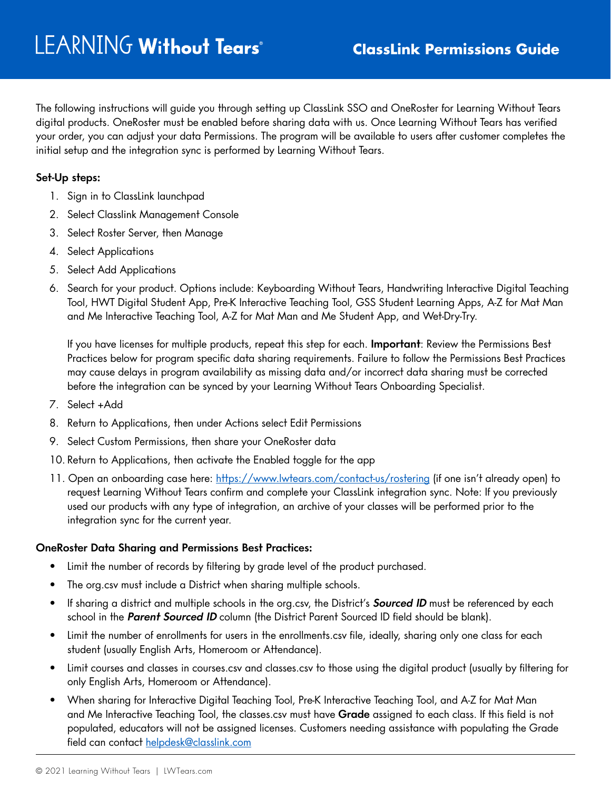The following instructions will guide you through setting up ClassLink SSO and OneRoster for Learning Without Tears digital products. OneRoster must be enabled before sharing data with us. Once Learning Without Tears has verified your order, you can adjust your data Permissions. The program will be available to users after customer completes the initial setup and the integration sync is performed by Learning Without Tears.

## **Set-Up steps:**

- 1. Sign in to ClassLink launchpad
- 2. Select Classlink Management Console
- 3. Select Roster Server, then Manage
- 4. Select Applications
- 5. Select Add Applications
- 6. Search for your product. Options include: Keyboarding Without Tears, Handwriting Interactive Digital Teaching Tool, HWT Digital Student App, Pre-K Interactive Teaching Tool, GSS Student Learning Apps, A-Z for Mat Man and Me Interactive Teaching Tool, A-Z for Mat Man and Me Student App, and Wet-Dry-Try.

If you have licenses for multiple products, repeat this step for each. **Important**: Review the Permissions Best Practices below for program specific data sharing requirements. Failure to follow the Permissions Best Practices may cause delays in program availability as missing data and/or incorrect data sharing must be corrected before the integration can be synced by your Learning Without Tears Onboarding Specialist.

- 7. Select +Add
- 8. Return to Applications, then under Actions select Edit Permissions
- 9. Select Custom Permissions, then share your OneRoster data
- 10. Return to Applications, then activate the Enabled toggle for the app
- 11. Open an onboarding case here: <https://www.lwtears.com/contact-us/rostering>(if one isn't already open) to request Learning Without Tears confirm and complete your ClassLink integration sync. Note: If you previously used our products with any type of integration, an archive of your classes will be performed prior to the integration sync for the current year.

## **OneRoster Data Sharing and Permissions Best Practices:**

- Limit the number of records by filtering by grade level of the product purchased.
- The org.csv must include a District when sharing multiple schools.
- If sharing a district and multiple schools in the org.csv, the District's *Sourced ID* must be referenced by each school in the **Parent Sourced ID** column (the District Parent Sourced ID field should be blank).
- Limit the number of enrollments for users in the enrollments.csv file, ideally, sharing only one class for each student (usually English Arts, Homeroom or Attendance).
- Limit courses and classes in courses.csv and classes.csv to those using the digital product (usually by filtering for only English Arts, Homeroom or Attendance).
- When sharing for Interactive Digital Teaching Tool, Pre-K Interactive Teaching Tool, and A-Z for Mat Man and Me Interactive Teaching Tool, the classes.csv must have **Grade** assigned to each class. If this field is not populated, educators will not be assigned licenses. Customers needing assistance with populating the Grade field can contact [helpdesk@classlink.com](mailto:helpdesk@classlink.com)